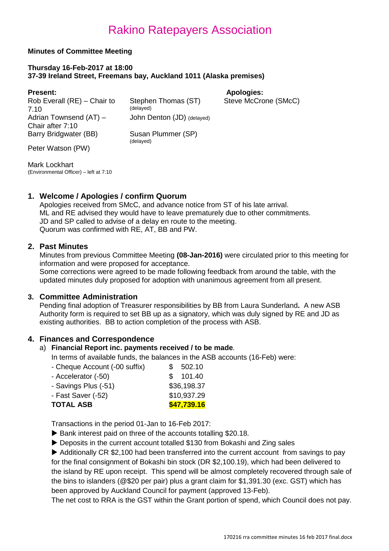#### **Minutes of Committee Meeting**

#### **Thursday 16-Feb-2017 at 18:00 37-39 Ireland Street, Freemans bay, Auckland 1011 (Alaska premises)**

| <b>Present:</b>                            |                                  | <b>Apologies:</b>    |
|--------------------------------------------|----------------------------------|----------------------|
| Rob Everall (RE) – Chair to<br>7.10        | Stephen Thomas (ST)<br>(delayed) | Steve McCrone (SMcC) |
| Adrian Townsend (AT) -<br>Chair after 7:10 | John Denton (JD) (delayed)       |                      |
| Barry Bridgwater (BB)                      | Susan Plummer (SP)<br>(delayed)  |                      |
| Peter Watson (PW)                          |                                  |                      |
|                                            |                                  |                      |

Mark Lockhart (Environmental Officer) – left at 7:10

## **1. Welcome / Apologies / confirm Quorum**

Apologies received from SMcC, and advance notice from ST of his late arrival. ML and RE advised they would have to leave prematurely due to other commitments. JD and SP called to advise of a delay en route to the meeting. Quorum was confirmed with RE, AT, BB and PW.

#### **2. Past Minutes**

Minutes from previous Committee Meeting **(08-Jan-2016)** were circulated prior to this meeting for information and were proposed for acceptance.

Some corrections were agreed to be made following feedback from around the table, with the updated minutes duly proposed for adoption with unanimous agreement from all present.

## **3. Committee Administration**

Pending final adoption of Treasurer responsibilities by BB from Laura Sunderland**.** A new ASB Authority form is required to set BB up as a signatory, which was duly signed by RE and JD as existing authorities. BB to action completion of the process with ASB.

## **4. Finances and Correspondence**

#### a) **Financial Report inc. payments received / to be made**.

In terms of available funds, the balances in the ASB accounts (16-Feb) were:

| - Cheque Account (-00 suffix) | SS. | 502.10      |
|-------------------------------|-----|-------------|
| - Accelerator (-50)           |     | \$101.40    |
| - Savings Plus (-51)          |     | \$36,198.37 |
| - Fast Saver (-52)            |     | \$10,937.29 |
| <b>TOTAL ASB</b>              |     | \$47,739.16 |

Transactions in the period 01-Jan to 16-Feb 2017:

- Bank interest paid on three of the accounts totalling \$20.18.
- ▶ Deposits in the current account totalled \$130 from Bokashi and Zing sales

Additionally CR \$2,100 had been transferred into the current account from savings to pay for the final consignment of Bokashi bin stock (DR \$2,100.19), which had been delivered to the island by RE upon receipt. This spend will be almost completely recovered through sale of the bins to islanders (@\$20 per pair) plus a grant claim for \$1,391.30 (exc. GST) which has been approved by Auckland Council for payment (approved 13-Feb).

The net cost to RRA is the GST within the Grant portion of spend, which Council does not pay.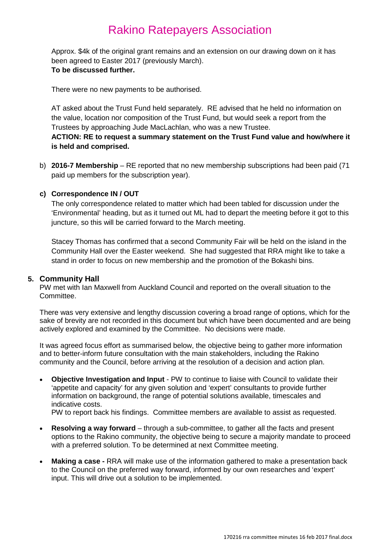Approx. \$4k of the original grant remains and an extension on our drawing down on it has been agreed to Easter 2017 (previously March). **To be discussed further.**

There were no new payments to be authorised.

AT asked about the Trust Fund held separately. RE advised that he held no information on the value, location nor composition of the Trust Fund, but would seek a report from the Trustees by approaching Jude MacLachlan, who was a new Trustee.

**ACTION: RE to request a summary statement on the Trust Fund value and how/where it is held and comprised.**

b) **2016-7 Membership** – RE reported that no new membership subscriptions had been paid (71 paid up members for the subscription year).

#### **c) Correspondence IN / OUT**

The only correspondence related to matter which had been tabled for discussion under the 'Environmental' heading, but as it turned out ML had to depart the meeting before it got to this juncture, so this will be carried forward to the March meeting.

Stacey Thomas has confirmed that a second Community Fair will be held on the island in the Community Hall over the Easter weekend. She had suggested that RRA might like to take a stand in order to focus on new membership and the promotion of the Bokashi bins.

#### **5. Community Hall**

PW met with Ian Maxwell from Auckland Council and reported on the overall situation to the Committee.

There was very extensive and lengthy discussion covering a broad range of options, which for the sake of brevity are not recorded in this document but which have been documented and are being actively explored and examined by the Committee. No decisions were made.

It was agreed focus effort as summarised below, the objective being to gather more information and to better-inform future consultation with the main stakeholders, including the Rakino community and the Council, before arriving at the resolution of a decision and action plan.

• **Objective Investigation and Input** - PW to continue to liaise with Council to validate their 'appetite and capacity' for any given solution and 'expert' consultants to provide further information on background, the range of potential solutions available, timescales and indicative costs.

PW to report back his findings. Committee members are available to assist as requested.

- **Resolving a way forward** through a sub-committee, to gather all the facts and present options to the Rakino community, the objective being to secure a majority mandate to proceed with a preferred solution. To be determined at next Committee meeting.
- **Making a case -** RRA will make use of the information gathered to make a presentation back to the Council on the preferred way forward, informed by our own researches and 'expert' input. This will drive out a solution to be implemented.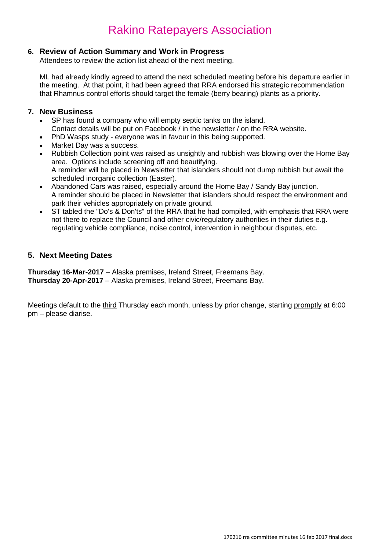## **6. Review of Action Summary and Work in Progress**

Attendees to review the action list ahead of the next meeting.

ML had already kindly agreed to attend the next scheduled meeting before his departure earlier in the meeting. At that point, it had been agreed that RRA endorsed his strategic recommendation that Rhamnus control efforts should target the female (berry bearing) plants as a priority.

#### **7. New Business**

- SP has found a company who will empty septic tanks on the island. Contact details will be put on Facebook / in the newsletter / on the RRA website.
- PhD Wasps study everyone was in favour in this being supported.
- Market Day was a success.
- Rubbish Collection point was raised as unsightly and rubbish was blowing over the Home Bay area. Options include screening off and beautifying. A reminder will be placed in Newsletter that islanders should not dump rubbish but await the scheduled inorganic collection (Easter).
- Abandoned Cars was raised, especially around the Home Bay / Sandy Bay junction. A reminder should be placed in Newsletter that islanders should respect the environment and park their vehicles appropriately on private ground.
- ST tabled the "Do's & Don'ts" of the RRA that he had compiled, with emphasis that RRA were not there to replace the Council and other civic/regulatory authorities in their duties e.g. regulating vehicle compliance, noise control, intervention in neighbour disputes, etc.

## **5. Next Meeting Dates**

**Thursday 16-Mar-2017** – Alaska premises, Ireland Street, Freemans Bay. **Thursday 20-Apr-2017** – Alaska premises, Ireland Street, Freemans Bay.

Meetings default to the third Thursday each month, unless by prior change, starting promptly at 6:00 pm – please diarise.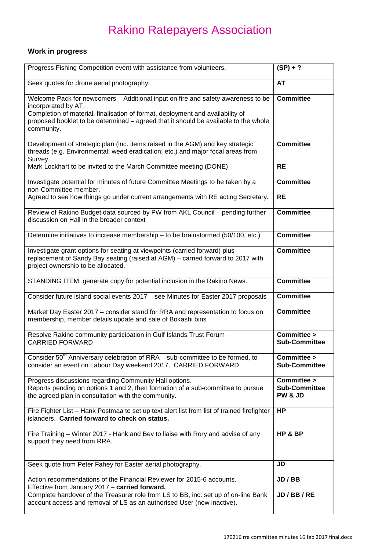# **Work in progress**

| Progress Fishing Competition event with assistance from volunteers.                                                                                                                                                                                                                            | $(SP) + ?$                                     |
|------------------------------------------------------------------------------------------------------------------------------------------------------------------------------------------------------------------------------------------------------------------------------------------------|------------------------------------------------|
| Seek quotes for drone aerial photography.                                                                                                                                                                                                                                                      | AT                                             |
| Welcome Pack for newcomers - Additional input on fire and safety awareness to be<br>incorporated by AT.<br>Completion of material, finalisation of format, deployment and availability of<br>proposed booklet to be determined - agreed that it should be available to the whole<br>community. | <b>Committee</b>                               |
| Development of strategic plan (inc. items raised in the AGM) and key strategic<br>threads (e.g. Environmental; weed eradication; etc.) and major focal areas from<br>Survey.<br>Mark Lockhart to be invited to the March Committee meeting (DONE)                                              | <b>Committee</b><br><b>RE</b>                  |
|                                                                                                                                                                                                                                                                                                |                                                |
| Investigate potential for minutes of future Committee Meetings to be taken by a<br>non-Committee member.<br>Agreed to see how things go under current arrangements with RE acting Secretary.                                                                                                   | <b>Committee</b><br><b>RE</b>                  |
| Review of Rakino Budget data sourced by PW from AKL Council - pending further<br>discussion on Hall in the broader context                                                                                                                                                                     | <b>Committee</b>                               |
| Determine initiatives to increase membership - to be brainstormed (50/100, etc.)                                                                                                                                                                                                               | <b>Committee</b>                               |
| Investigate grant options for seating at viewpoints (carried forward) plus<br>replacement of Sandy Bay seating (raised at AGM) - carried forward to 2017 with<br>project ownership to be allocated.                                                                                            | <b>Committee</b>                               |
| STANDING ITEM: generate copy for potential inclusion in the Rakino News.                                                                                                                                                                                                                       | <b>Committee</b>                               |
| Consider future island social events 2017 - see Minutes for Easter 2017 proposals                                                                                                                                                                                                              | <b>Committee</b>                               |
| Market Day Easter 2017 - consider stand for RRA and representation to focus on<br>membership, member details update and sale of Bokashi bins                                                                                                                                                   | <b>Committee</b>                               |
| Resolve Rakino community participation in Gulf Islands Trust Forum<br><b>CARRIED FORWARD</b>                                                                                                                                                                                                   | Committee ><br><b>Sub-Committee</b>            |
| Consider 50 <sup>th</sup> Anniversary celebration of RRA - sub-committee to be formed, to<br>consider an event on Labour Day weekend 2017. CARRIED FORWARD                                                                                                                                     | Committee ><br><b>Sub-Committee</b>            |
| Progress discussions regarding Community Hall options.<br>Reports pending on options 1 and 2, then formation of a sub-committee to pursue<br>the agreed plan in consultation with the community.                                                                                               | Committee ><br><b>Sub-Committee</b><br>PW & JD |
| Fire Fighter List - Hank Postmaa to set up text alert list from list of trained firefighter<br>islanders. Carried forward to check on status.                                                                                                                                                  | <b>HP</b>                                      |
| Fire Training - Winter 2017 - Hank and Bev to liaise with Rory and advise of any<br>support they need from RRA.                                                                                                                                                                                | HP & BP                                        |
| Seek quote from Peter Fahey for Easter aerial photography.                                                                                                                                                                                                                                     | JD                                             |
| Action recommendations of the Financial Reviewer for 2015-6 accounts.<br>Effective from January 2017 - carried forward.                                                                                                                                                                        | JD / BB                                        |
| Complete handover of the Treasurer role from LS to BB, inc. set up of on-line Bank<br>account access and removal of LS as an authorised User (now inactive).                                                                                                                                   | JD/BB/RE                                       |